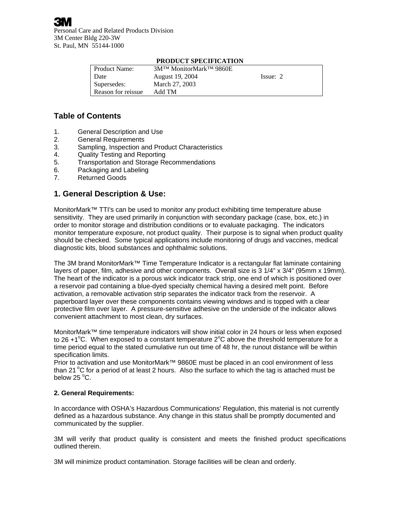|                      | TRODUCT DI L'UITROITION                          |             |
|----------------------|--------------------------------------------------|-------------|
| <b>Product Name:</b> | 3M <sup>TM</sup> MonitorMark <sup>TM</sup> 9860E |             |
| Date                 | August 19, 2004                                  | $I$ ssue: 2 |
| Supersedes:          | March 27, 2003                                   |             |
| Reason for reissue   | Add TM                                           |             |

### **PRODUCT SPECIFICATION**

# **Table of Contents**

- 1. General Description and Use
- 2. General Requirements
- 3. Sampling, Inspection and Product Characteristics
- 4. Quality Testing and Reporting
- 5. Transportation and Storage Recommendations
- 6. Packaging and Labeling
- 7. Returned Goods

# **1. General Description & Use:**

MonitorMark™ TTI's can be used to monitor any product exhibiting time temperature abuse sensitivity. They are used primarily in conjunction with secondary package (case, box, etc.) in order to monitor storage and distribution conditions or to evaluate packaging. The indicators monitor temperature exposure, not product quality. Their purpose is to signal when product quality should be checked. Some typical applications include monitoring of drugs and vaccines, medical diagnostic kits, blood substances and ophthalmic solutions.

The 3M brand MonitorMark™ Time Temperature Indicator is a rectangular flat laminate containing layers of paper, film, adhesive and other components. Overall size is 3 1/4" x 3/4" (95mm x 19mm). The heart of the indicator is a porous wick indicator track strip, one end of which is positioned over a reservoir pad containing a blue-dyed specialty chemical having a desired melt point. Before activation, a removable activation strip separates the indicator track from the reservoir. A paperboard layer over these components contains viewing windows and is topped with a clear protective film over layer. A pressure-sensitive adhesive on the underside of the indicator allows convenient attachment to most clean, dry surfaces.

MonitorMark™ time temperature indicators will show initial color in 24 hours or less when exposed to 26+1<sup>o</sup>C. When exposed to a constant temperature 2<sup>o</sup>C above the threshold temperature for a time period equal to the stated cumulative run out time of 48 hr, the runout distance will be within specification limits.

Prior to activation and use MonitorMark™ 9860E must be placed in an cool environment of less than 21  $\rm{^oC}$  for a period of at least 2 hours. Also the surface to which the tag is attached must be below 25  $^{\circ}$ C.

### **2. General Requirements:**

In accordance with OSHA's Hazardous Communications' Regulation, this material is not currently defined as a hazardous substance. Any change in this status shall be promptly documented and communicated by the supplier.

3M will verify that product quality is consistent and meets the finished product specifications outlined therein.

3M will minimize product contamination. Storage facilities will be clean and orderly.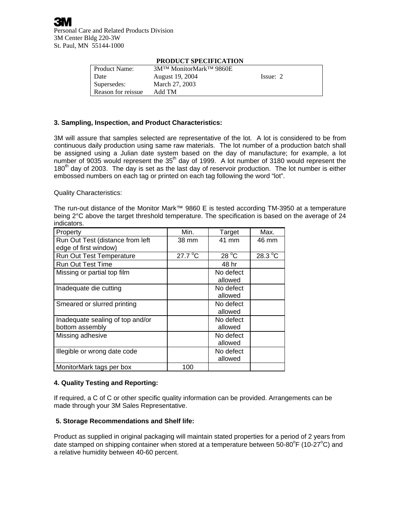|                     | TRODUCT SEECHTCATION                             |          |
|---------------------|--------------------------------------------------|----------|
| Product Name:       | 3M <sup>TM</sup> MonitorMark <sup>TM</sup> 9860E |          |
| $\blacksquare$ Date | August 19, 2004                                  | Issue: 2 |
| Supersedes:         | March 27, 2003                                   |          |
| Reason for reissue  | Add TM                                           |          |

### **PRODUCT SPECIFICATION**

## **3. Sampling, Inspection, and Product Characteristics:**

3M will assure that samples selected are representative of the lot. A lot is considered to be from continuous daily production using same raw materials. The lot number of a production batch shall be assigned using a Julian date system based on the day of manufacture; for example, a lot number of 9035 would represent the 35<sup>th</sup> day of 1999. A lot number of 3180 would represent the 180<sup>th</sup> day of 2003. The day is set as the last day of reservoir production. The lot number is either embossed numbers on each tag or printed on each tag following the word "lot".

Quality Characteristics:

The run-out distance of the Monitor Mark™ 9860 E is tested according TM-3950 at a temperature being 2°C above the target threshold temperature. The specification is based on the average of 24 indicators.

| Property                         | Min.             | Target         | Max.    |
|----------------------------------|------------------|----------------|---------|
| Run Out Test (distance from left | 38 mm            | 41 mm          | 46 mm   |
| edge of first window)            |                  |                |         |
| Run Out Test Temperature         | $27.7^{\circ}$ C | $28^{\circ}$ C | 28.3 °C |
| <b>Run Out Test Time</b>         |                  | 48 hr          |         |
| Missing or partial top film      |                  | No defect      |         |
|                                  |                  | allowed        |         |
| Inadequate die cutting           |                  | No defect      |         |
|                                  |                  | allowed        |         |
| Smeared or slurred printing      |                  | No defect      |         |
|                                  |                  | allowed        |         |
| Inadequate sealing of top and/or |                  | No defect      |         |
| bottom assembly                  |                  | allowed        |         |
| Missing adhesive                 |                  | No defect      |         |
|                                  |                  | allowed        |         |
| Illegible or wrong date code     |                  | No defect      |         |
|                                  |                  | allowed        |         |
| MonitorMark tags per box         | 100              |                |         |

## **4. Quality Testing and Reporting:**

If required, a C of C or other specific quality information can be provided. Arrangements can be made through your 3M Sales Representative.

### **5. Storage Recommendations and Shelf life:**

Product as supplied in original packaging will maintain stated properties for a period of 2 years from date stamped on shipping container when stored at a temperature between 50-80°F (10-27°C) and a relative humidity between 40-60 percent.